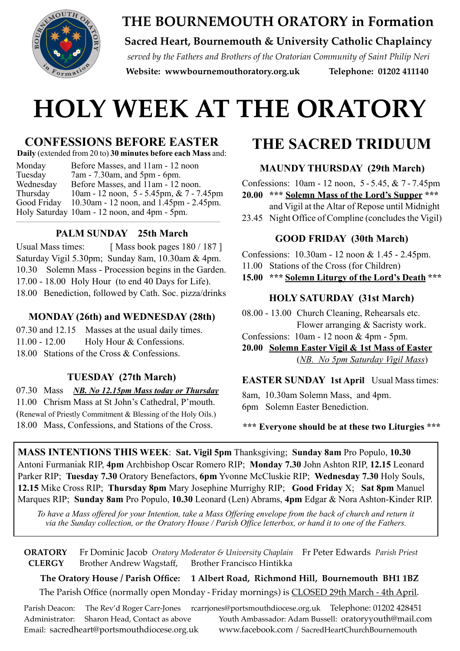

# **THE BOURNEMOUTH ORATORY in Formation**

## **Sacred Heart, Bournemouth & University Catholic Chaplaincy**

*served by the Fathers and Brothers of the Oratorian Community of Saint Philip Neri*  **Website: [wwwbournemouthoratory.org.uk](http://wwwbournemouthoratory.org.uk) Telephone: 01202 411140**

# **HOLY WEEK AT THE ORATORY**

# **CONFESSIONS BEFORE EASTER**

**Daily** (extended from 20 to) **30 minutes before each Mass** and:

Monday Before Masses, and 11am - 12 noon Tuesday 7am - 7.30am, and 5pm - 6pm. Wednesday Before Masses, and 11am - 12 noon. Thursday 10am - 12 noon, 5 - 5.45pm, & 7 - 7.45pm Good Friday 10.30am - 12 noon, and 1.45pm - 2.45pm. Holy Saturday 10am - 12 noon, and 4pm - 5pm.  $\mathcal{L}_\mathcal{L} = \{ \mathcal{L}_\mathcal{L} = \{ \mathcal{L}_\mathcal{L} = \{ \mathcal{L}_\mathcal{L} = \{ \mathcal{L}_\mathcal{L} = \{ \mathcal{L}_\mathcal{L} = \{ \mathcal{L}_\mathcal{L} = \{ \mathcal{L}_\mathcal{L} = \{ \mathcal{L}_\mathcal{L} = \{ \mathcal{L}_\mathcal{L} = \{ \mathcal{L}_\mathcal{L} = \{ \mathcal{L}_\mathcal{L} = \{ \mathcal{L}_\mathcal{L} = \{ \mathcal{L}_\mathcal{L} = \{ \mathcal{L}_\mathcal{$ 

### **PALM SUNDAY 25th March**

Usual Mass times: [ Mass book pages 180 / 187 ] Saturday Vigil 5.30pm; Sunday 8am, 10.30am & 4pm. 10.30 Solemn Mass - Procession begins in the Garden. 17.00 - 18.00 Holy Hour (to end 40 Days for Life). 18.00 Benediction, followed by Cath. Soc. pizza/drinks

#### **MONDAY (26th) and WEDNESDAY (28th)**

07.30 and 12.15 Masses at the usual daily times. 11.00 - 12.00 Holy Hour & Confessions. 18.00 Stations of the Cross & Confessions.

### **TUESDAY (27th March)**

07.30 Mass *NB. No 12.15pm Mass today or Thursday* 11.00 Chrism Mass at St John's Cathedral, P'mouth. (Renewal of Priestly Commitment & Blessing of the Holy Oils.) 18.00 Mass, Confessions, and Stations of the Cross.

# **THE SACRED TRIDUUM**

## **MAUNDY THURSDAY (29th March)**

Confessions: 10am - 12 noon, 5 - 5.45, & 7 - 7.45pm **20.00 \*\*\* Solemn Mass of the Lord's Supper \*\*\***

and Vigil at the Altar of Repose until Midnight

23.45 Night Office of Compline (concludes the Vigil)

#### **GOOD FRIDAY (30th March)**

Confessions: 10.30am - 12 noon & 1.45 - 2.45pm.

11.00 Stations of the Cross (for Children)

**15.00 \*\*\* Solemn Liturgy of the Lord's Death \*\*\*** 

### **HOLY SATURDAY (31st March)**

08.00 - 13.00 Church Cleaning, Rehearsals etc. Flower arranging & Sacristy work.

Confessions: 10am - 12 noon & 4pm - 5pm.

**20.00 Solemn Easter Vigil & 1st Mass of Easter** (*NB. No 5pm Saturday Vigil Mass*)

**EASTER SUNDAY 1st April** Usual Masstimes:

8am, 10.30am Solemn Mass, and 4pm. 6pm Solemn Easter Benediction.

**\*\*\* Everyone should be at these two Liturgies \*\*\***

**MASS INTENTIONS THIS WEEK**: **Sat. Vigil 5pm** Thanksgiving; **Sunday 8am** Pro Populo, **10.30** Antoni Furmaniak RIP, **4pm** Archbishop Oscar Romero RIP; **Monday 7.30** John Ashton RIP, **12.15** Leonard Parker RIP; **Tuesday 7.30** Oratory Benefactors, **6pm** Yvonne McCluskie RIP; **Wednesday 7.30** Holy Souls, **12.15** Mike Cross RIP; **Thursday 8pm** Mary Josephine Murrighy RIP; **Good Friday** X; **Sat 8pm** Manuel Marques RIP; **Sunday 8am** Pro Populo, **10.30** Leonard (Len) Abrams, **4pm** Edgar & Nora Ashton-Kinder RIP.

*To have a Mass offered for your Intention, take a Mass Offering envelope from the back of church and return it via the Sunday collection, or the Oratory House / Parish Office letterbox, or hand it to one of the Fathers.*

**ORATORY** Fr Dominic Jacob *Oratory Moderator & University Chaplain* Fr Peter Edwards *Parish Priest* **CLERGY** Brother Andrew Wagstaff, Brother Francisco Hintikka

**The Oratory House / Parish Office: 1 Albert Road, Richmond Hill, Bournemouth BH1 1BZ** The Parish Office (normally open Monday - Friday mornings) is CLOSED 29th March - 4th April.

Parish Deacon: The Rev'd Roger Carr-Jones [rcarrjones@portsmouthdiocese.org.uk](mailto:rcarrjones@portsmouthdiocese.org.uk) Telephone: 01202 428451 Administrator: Sharon Head, Contact as above Youth Ambassador: Adam Bussell: [oratoryyouth@mail.com](mailto:oratoryyouth@mail.com) Email: [sacredheart@portsmouthdiocese.org.uk](mailto:sacredheart@portsmouthdiocese.org.uk) [www.facebook.com](http://www.facebook.com) / SacredHeartChurchBournemouth